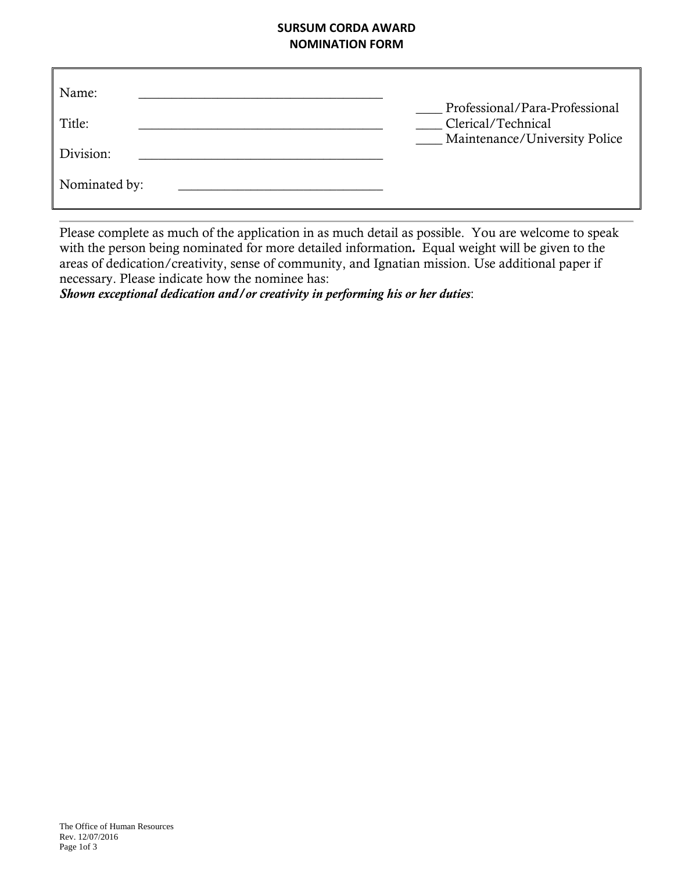### **SURSUM CORDA AWARD NOMINATION FORM**

| Name:         |                                                                                       |
|---------------|---------------------------------------------------------------------------------------|
| Title:        | Professional/Para-Professional<br>Clerical/Technical<br>Maintenance/University Police |
| Division:     |                                                                                       |
| Nominated by: |                                                                                       |

Please complete as much of the application in as much detail as possible. You are welcome to speak with the person being nominated for more detailed information*.* Equal weight will be given to the areas of dedication/creativity, sense of community, and Ignatian mission. Use additional paper if necessary. Please indicate how the nominee has:

*Shown exceptional dedication and/or creativity in performing his or her duties*: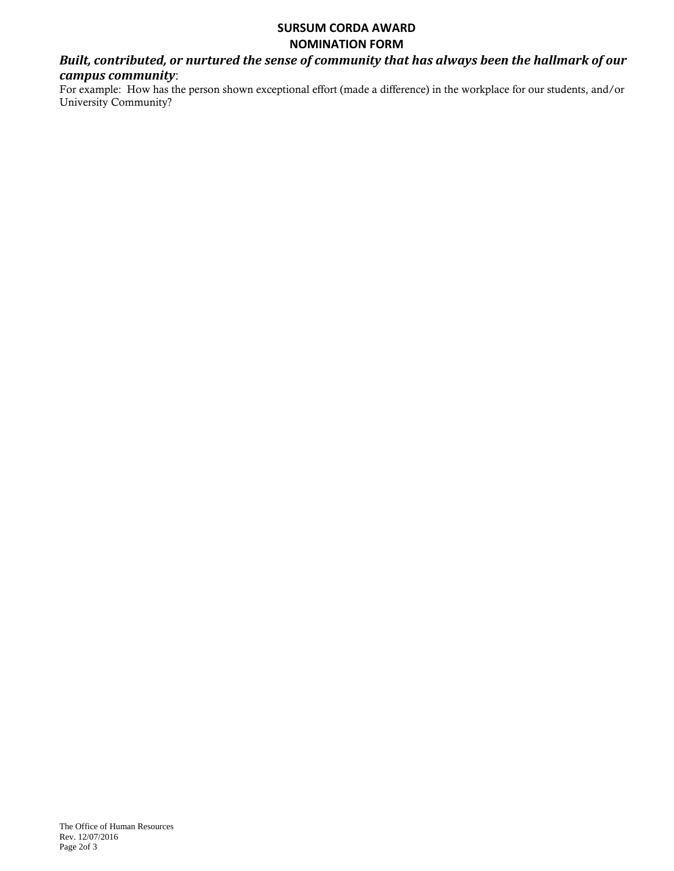#### **SURSUM CORDA AWARD NOMINATION FORM**

## *Built, contributed, or nurtured the sense of community that has always been the hallmark of our campus community*:

For example: How has the person shown exceptional effort (made a difference) in the workplace for our students, and/or University Community?